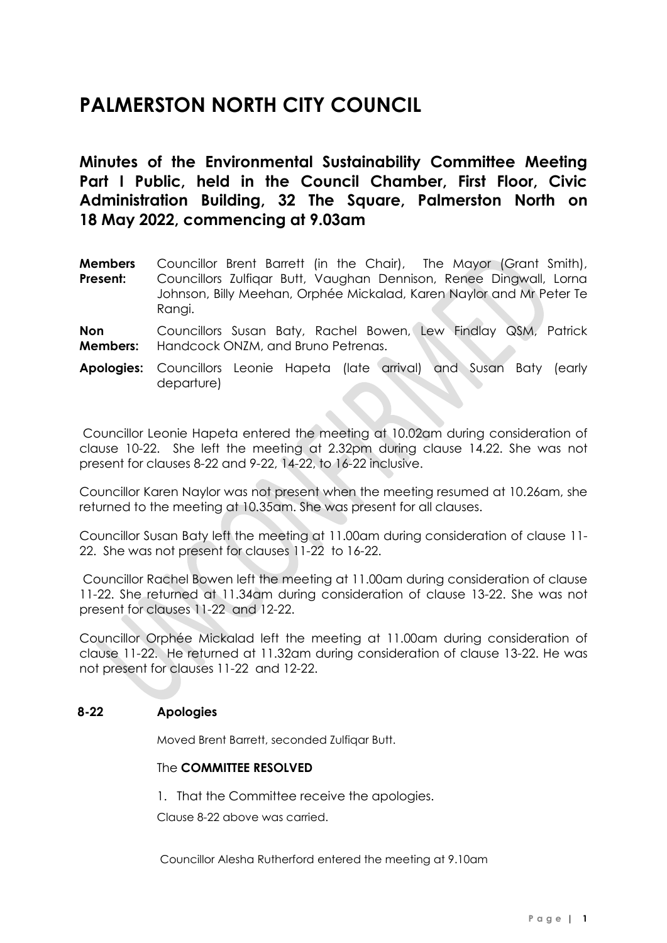# **PALMERSTON NORTH CITY COUNCIL**

**Minutes of the Environmental Sustainability Committee Meeting Part I Public, held in the Council Chamber, First Floor, Civic Administration Building, 32 The Square, Palmerston North on 18 May 2022, commencing at 9.03am**

**Members Present:** Councillor Brent Barrett (in the Chair), The Mayor (Grant Smith), Councillors Zulfiqar Butt, Vaughan Dennison, Renee Dingwall, Lorna Johnson, Billy Meehan, Orphée Mickalad, Karen Naylor and Mr Peter Te Rangi.

**Non Members:** Councillors Susan Baty, Rachel Bowen, Lew Findlay QSM, Patrick Handcock ONZM, and Bruno Petrenas.

**Apologies:** Councillors Leonie Hapeta (late arrival) and Susan Baty (early departure)

Councillor Leonie Hapeta entered the meeting at 10.02am during consideration of clause 10-22. She left the meeting at 2.32pm during clause 14.22. She was not present for clauses 8-22 and 9-22, 14-22, to 16-22 inclusive.

Councillor Karen Naylor was not present when the meeting resumed at 10.26am, she returned to the meeting at 10.35am. She was present for all clauses.

Councillor Susan Baty left the meeting at 11.00am during consideration of clause 11- 22. She was not present for clauses 11-22 to 16-22.

Councillor Rachel Bowen left the meeting at 11.00am during consideration of clause 11-22. She returned at 11.34am during consideration of clause 13-22. She was not present for clauses 11-22 and 12-22.

Councillor Orphée Mickalad left the meeting at 11.00am during consideration of clause 11-22. He returned at 11.32am during consideration of clause 13-22. He was not present for clauses 11-22 and 12-22.

# **8-22 Apologies**

Moved Brent Barrett, seconded Zulfiqar Butt.

### The **COMMITTEE RESOLVED**

1. That the Committee receive the apologies.

Clause 8-22 above was carried.

Councillor Alesha Rutherford entered the meeting at 9.10am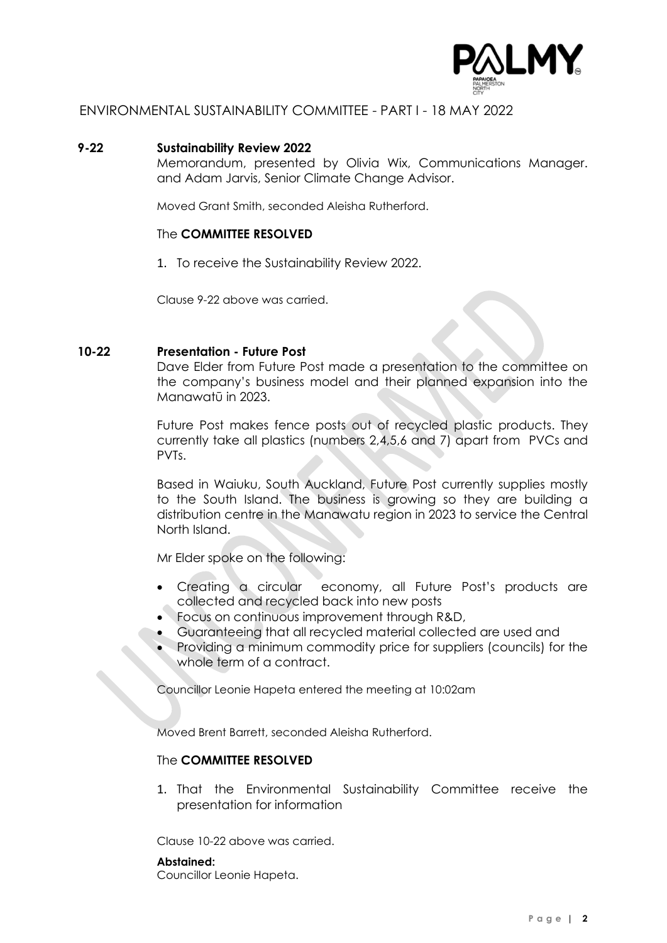

### **9-22 Sustainability Review 2022**

Memorandum, presented by Olivia Wix, Communications Manager. and Adam Jarvis, Senior Climate Change Advisor.

Moved Grant Smith, seconded Aleisha Rutherford.

#### The **COMMITTEE RESOLVED**

1. To receive the Sustainability Review 2022.

Clause 9-22 above was carried.

### **10-22 Presentation - Future Post**

Dave Elder from Future Post made a presentation to the committee on the company's business model and their planned expansion into the Manawatū in 2023.

Future Post makes fence posts out of recycled plastic products. They currently take all plastics (numbers 2,4,5,6 and 7) apart from PVCs and PVTs.

Based in Waiuku, South Auckland, Future Post currently supplies mostly to the South Island. The business is growing so they are building a distribution centre in the Manawatu region in 2023 to service the Central North Island.

Mr Elder spoke on the following:

- Creating a circular economy, all Future Post's products are collected and recycled back into new posts
- Focus on continuous improvement through R&D,
- Guaranteeing that all recycled material collected are used and
- Providing a minimum commodity price for suppliers (councils) for the whole term of a contract.

Councillor Leonie Hapeta entered the meeting at 10:02am

Moved Brent Barrett, seconded Aleisha Rutherford.

# The **COMMITTEE RESOLVED**

1. That the Environmental Sustainability Committee receive the presentation for information

Clause 10-22 above was carried.

#### **Abstained:**

Councillor Leonie Hapeta.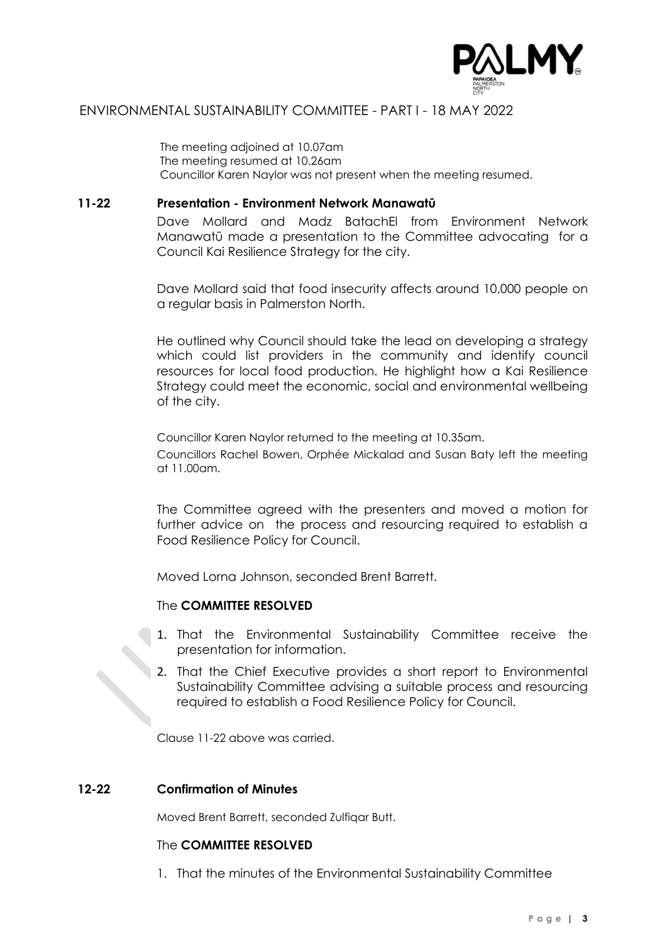

The meeting adjoined at 10.07am The meeting resumed at 10.26am Councillor Karen Naylor was not present when the meeting resumed.

# **11-22 Presentation - Environment Network Manawatū**

Dave Mollard and Madz BatachEl from Environment Network Manawatū made a presentation to the Committee advocating for a Council Kai Resilience Strategy for the city.

Dave Mollard said that food insecurity affects around 10,000 people on a regular basis in Palmerston North.

He outlined why Council should take the lead on developing a strategy which could list providers in the community and identify council resources for local food production. He highlight how a Kai Resilience Strategy could meet the economic, social and environmental wellbeing of the city.

Councillor Karen Naylor returned to the meeting at 10.35am. Councillors Rachel Bowen, Orphée Mickalad and Susan Baty left the meeting at 11.00am.

The Committee agreed with the presenters and moved a motion for further advice on the process and resourcing required to establish a Food Resilience Policy for Council.

Moved Lorna Johnson, seconded Brent Barrett.

# The **COMMITTEE RESOLVED**

- 1. That the Environmental Sustainability Committee receive the presentation for information.
- 2. That the Chief Executive provides a short report to Environmental Sustainability Committee advising a suitable process and resourcing required to establish a Food Resilience Policy for Council.

Clause 11-22 above was carried.

#### **12-22 Confirmation of Minutes**

Moved Brent Barrett, seconded Zulfiqar Butt.

#### The **COMMITTEE RESOLVED**

1. That the minutes of the Environmental Sustainability Committee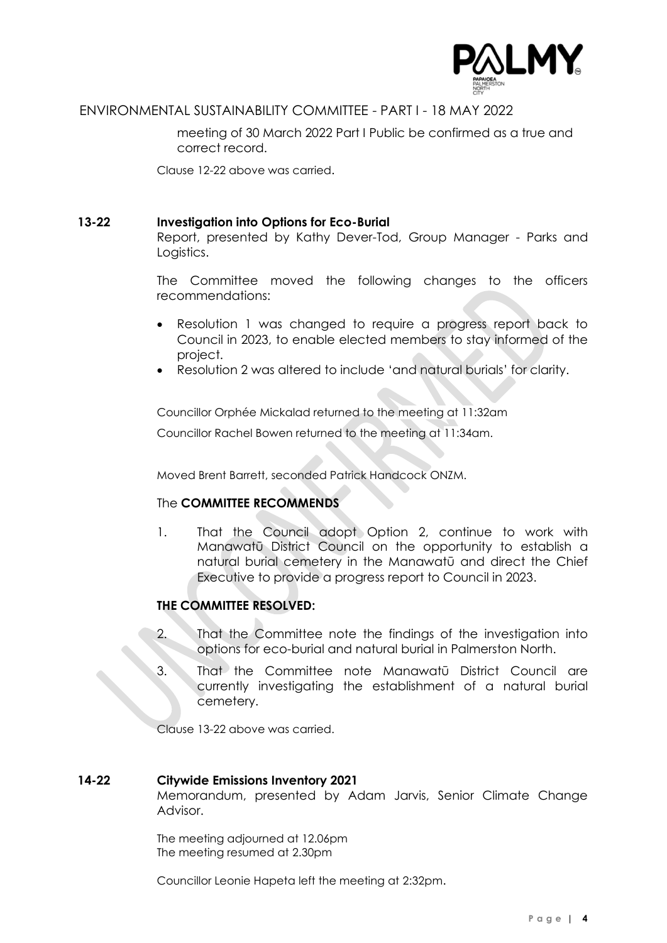

meeting of 30 March 2022 Part I Public be confirmed as a true and correct record.

Clause 12-22 above was carried.

# **13-22 Investigation into Options for Eco-Burial**

Report, presented by Kathy Dever-Tod, Group Manager - Parks and Logistics.

The Committee moved the following changes to the officers recommendations:

- Resolution 1 was changed to require a progress report back to Council in 2023, to enable elected members to stay informed of the project.
- Resolution 2 was altered to include 'and natural burials' for clarity.

Councillor Orphée Mickalad returned to the meeting at 11:32am

Councillor Rachel Bowen returned to the meeting at 11:34am.

Moved Brent Barrett, seconded Patrick Handcock ONZM.

# The **COMMITTEE RECOMMENDS**

1. That the Council adopt Option 2, continue to work with Manawatū District Council on the opportunity to establish a natural burial cemetery in the Manawatū and direct the Chief Executive to provide a progress report to Council in 2023.

# **THE COMMITTEE RESOLVED:**

- 2. That the Committee note the findings of the investigation into options for eco-burial and natural burial in Palmerston North.
- 3. That the Committee note Manawatū District Council are currently investigating the establishment of a natural burial cemetery.

Clause 13-22 above was carried.

# **14-22 Citywide Emissions Inventory 2021**

Memorandum, presented by Adam Jarvis, Senior Climate Change Advisor.

The meeting adjourned at 12.06pm The meeting resumed at 2.30pm

Councillor Leonie Hapeta left the meeting at 2:32pm.